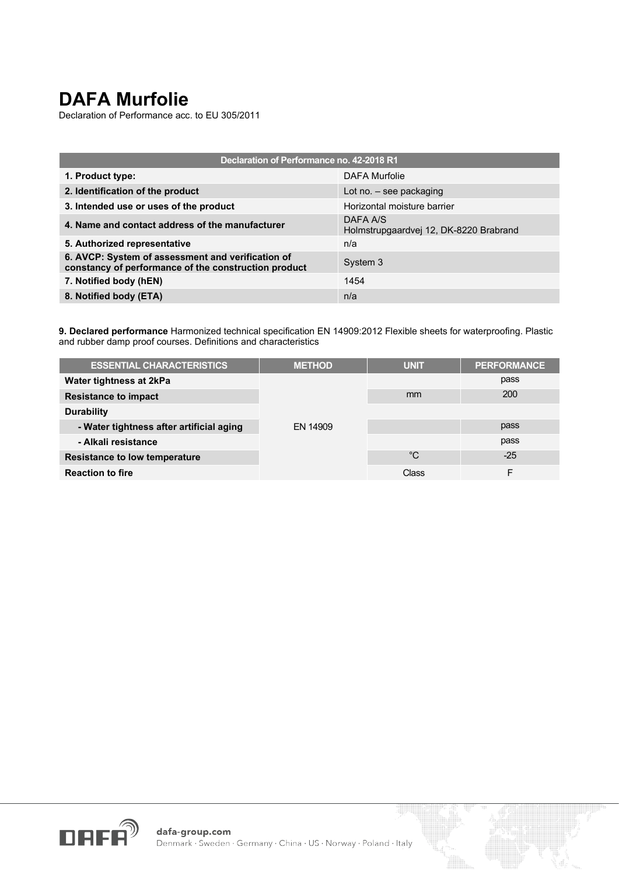## **DAFA Murfolie**

Declaration of Performance acc. to EU 305/2011

| Declaration of Performance no. 42-2018 R1                                                                 |                                                    |  |  |
|-----------------------------------------------------------------------------------------------------------|----------------------------------------------------|--|--|
| 1. Product type:                                                                                          | DAFA Murfolie                                      |  |  |
| 2. Identification of the product                                                                          | Lot no. $-$ see packaging                          |  |  |
| 3. Intended use or uses of the product                                                                    | Horizontal moisture barrier                        |  |  |
| 4. Name and contact address of the manufacturer                                                           | DAFA A/S<br>Holmstrupgaardvej 12, DK-8220 Brabrand |  |  |
| 5. Authorized representative                                                                              | n/a                                                |  |  |
| 6. AVCP: System of assessment and verification of<br>constancy of performance of the construction product | System 3                                           |  |  |
| 7. Notified body (hEN)                                                                                    | 1454                                               |  |  |
| 8. Notified body (ETA)                                                                                    | n/a                                                |  |  |

**9. Declared performance** Harmonized technical specification EN 14909:2012 Flexible sheets for waterproofing. Plastic and rubber damp proof courses. Definitions and characteristics

| <b>ESSENTIAL CHARACTERISTICS</b>         | <b>METHOD</b> | <b>UNIT</b> | <b>PERFORMANCE</b> |
|------------------------------------------|---------------|-------------|--------------------|
| Water tightness at 2kPa                  |               |             | pass               |
| <b>Resistance to impact</b>              |               | mm          | 200                |
| <b>Durability</b>                        |               |             |                    |
| - Water tightness after artificial aging | EN 14909      |             | pass               |
| - Alkali resistance                      |               |             | pass               |
| <b>Resistance to low temperature</b>     |               | °C          | $-25$              |
| <b>Reaction to fire</b>                  |               | Class       |                    |